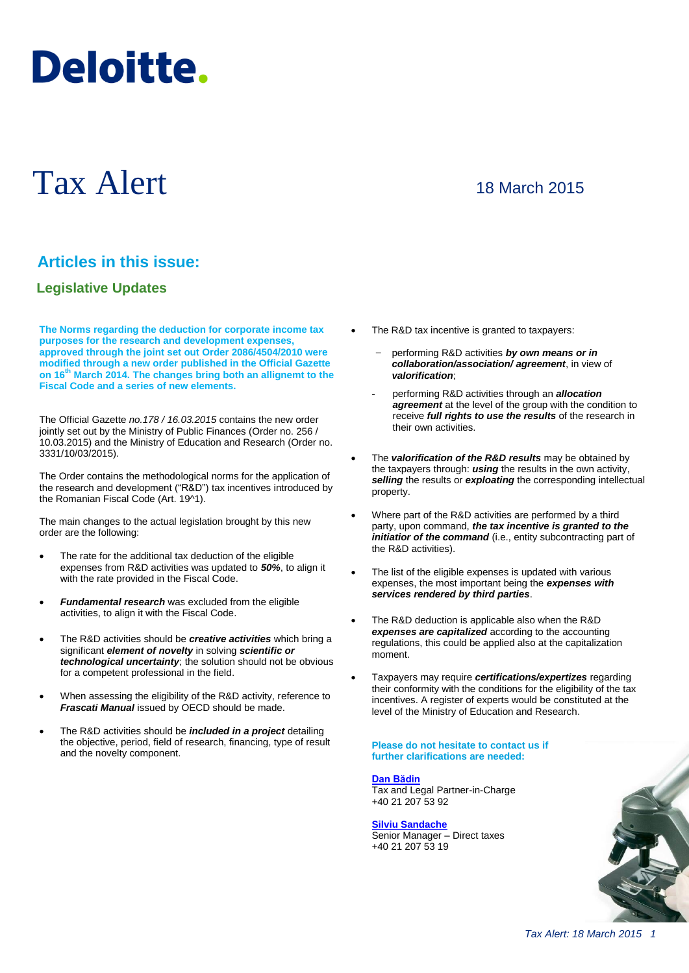# Deloitte.

# Tax Alert

# 18 March 2015

# **Articles in this issue:**

### **Legislative Updates**

**The Norms regarding the deduction for corporate income tax purposes for the research and development expenses, approved through the joint set out Order 2086/4504/2010 were modified through a new order published in the Official Gazette on 16th March 2014. The changes bring both an allignemt to the Fiscal Code and a series of new elements.** 

The Official Gazette *no.178 / 16.03.2015* contains the new order jointly set out by the Ministry of Public Finances (Order no. 256 / 10.03.2015) and the Ministry of Education and Research (Order no. 3331/10/03/2015).

The Order contains the methodological norms for the application of the research and development ("R&D") tax incentives introduced by the Romanian Fiscal Code (Art. 19^1).

The main changes to the actual legislation brought by this new order are the following:

- The rate for the additional tax deduction of the eligible expenses from R&D activities was updated to *50%*, to align it with the rate provided in the Fiscal Code.
- *Fundamental research* was excluded from the eligible activities, to align it with the Fiscal Code.
- The R&D activities should be *creative activities* which bring a significant *element of novelty* in solving *scientific or technological uncertainty*; the solution should not be obvious for a competent professional in the field.
- When assessing the eligibility of the R&D activity, reference to *Frascati Manual* issued by OECD should be made.
- The R&D activities should be *included in a project* detailing the objective, period, field of research, financing, type of result and the novelty component.
- The R&D tax incentive is granted to taxpayers:
	- − performing R&D activities *by own means or in collaboration/association/ agreement*, in view of *valorification*;
	- performing R&D activities through an *allocation agreement* at the level of the group with the condition to receive *full rights to use the results* of the research in their own activities.
- The *valorification of the R&D results* may be obtained by the taxpayers through: *using* the results in the own activity, *selling* the results or *exploating* the corresponding intellectual property.
- Where part of the R&D activities are performed by a third party, upon command, *the tax incentive is granted to the initiatior of the command* (i.e., entity subcontracting part of the R&D activities).
- The list of the eligible expenses is updated with various expenses, the most important being the *expenses with services rendered by third parties*.
- The R&D deduction is applicable also when the R&D *expenses are capitalized* according to the accounting regulations, this could be applied also at the capitalization moment.
- Taxpayers may require *certifications/expertizes* regarding their conformity with the conditions for the eligibility of the tax incentives. A register of experts would be constituted at the level of the Ministry of Education and Research.

#### **Please do not hesitate to contact us if further clarifications are needed:**

#### **[Dan Bădin](mailto:dbadin@deloittece.com)**

Tax and Legal Partner-in-Charge +40 21 207 53 92

#### **[Silviu Sandache](mailto:ssandache@deloittece.com)**

Senior Manager – Direct taxes +40 21 207 53 19